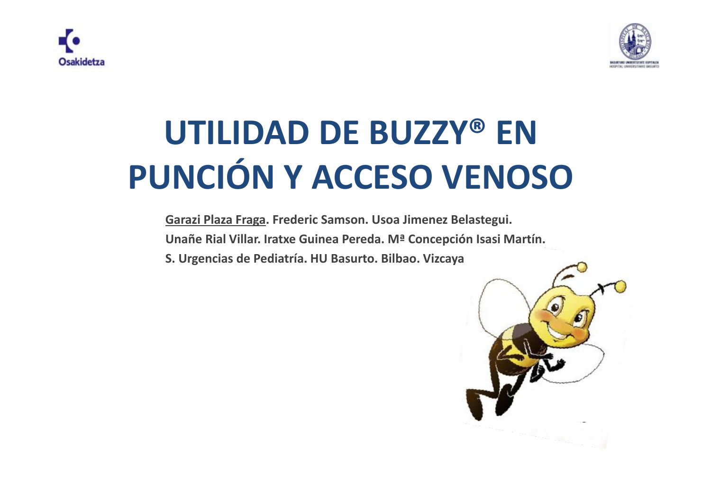



# **UTILIDAD DE BUZZY® ENPUNCIÓN Y ACCESO VENOSO**

**Garazi Plaza Fraga. Frederic Samson. Usoa Jimenez Belastegui.**

**Unañe Rial Villar. Iratxe Guinea Pereda. Mª Concepción Isasi Martín.**

**S. Urgencias de Pediatría. HU Basurto. Bilbao. Vizcaya**

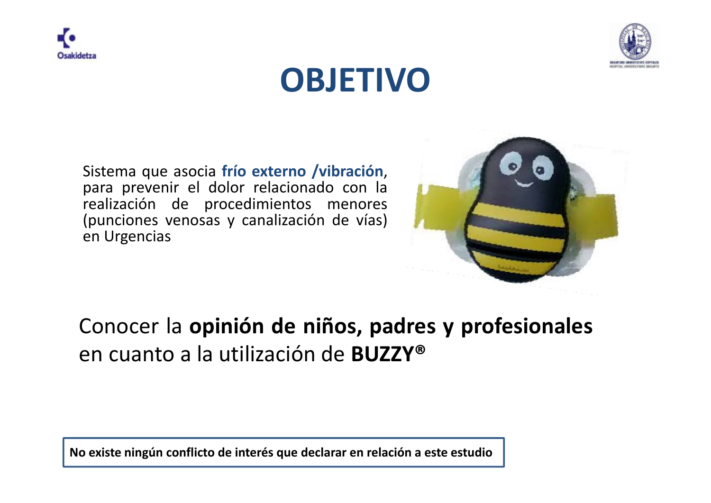



## **OBJETIVO**

Sistema que asocia **frío externo /vibración**, para prevenir el dolor relacionado con la realización de procedimientos menores (punciones venosas y canalización de vías) en Urgencias



### Conocer la **opinión de niños, padres y profesionales** en cuanto <sup>a</sup> la utilización de **BUZZY®**

No existe ningún conflicto de interés que declarar en relación a este estudio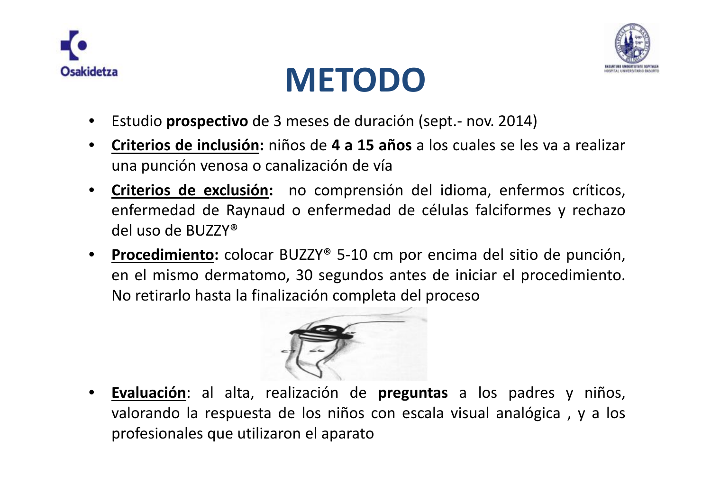





- •Estudio **prospectivo** de 3 meses de duración (sept.‐ nov. 2014)
- • **Criterios de inclusión:** niños de **4 <sup>a</sup> 15 años** <sup>a</sup> los cuales se les va <sup>a</sup> realizar una punción venosa <sup>o</sup> canalización de vía
- •**• Criterios de exclusión:** no comprensión del idioma, enfermos críticos, enfermedad de Raynaud <sup>o</sup> enfermedad de células falciformes y rechazo del uso de BUZZY®
- $\bullet$ **• Procedimiento:** colocar BUZZY® 5-10 cm por encima del sitio de punción, en el mismo dermatomo, 30 segundos antes de iniciar el procedimiento. No retirarlo hasta la finalización completa del proceso



• **Evaluación**: al alta, realización de **preguntas** <sup>a</sup> los padres y niños, valorando la respuesta de los niños con escala visual analógica , y <sup>a</sup> los profesionales que utilizaron el aparato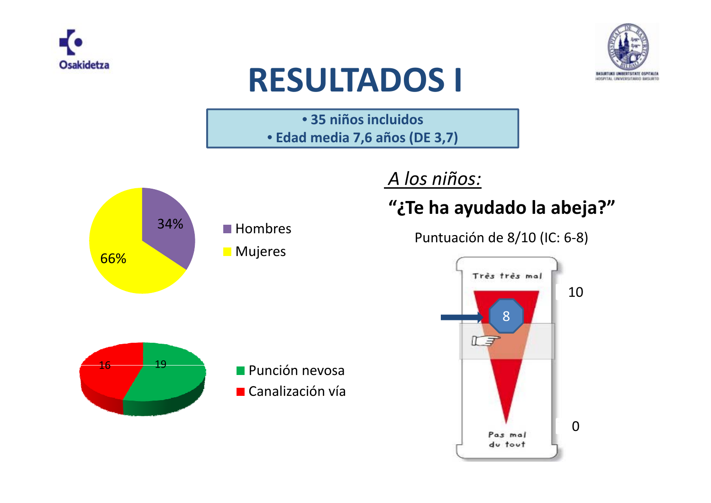



## **RESULTADOS I**

• **35 niños incluidos** • **Edad media 7 6 años (DE 3 7)**

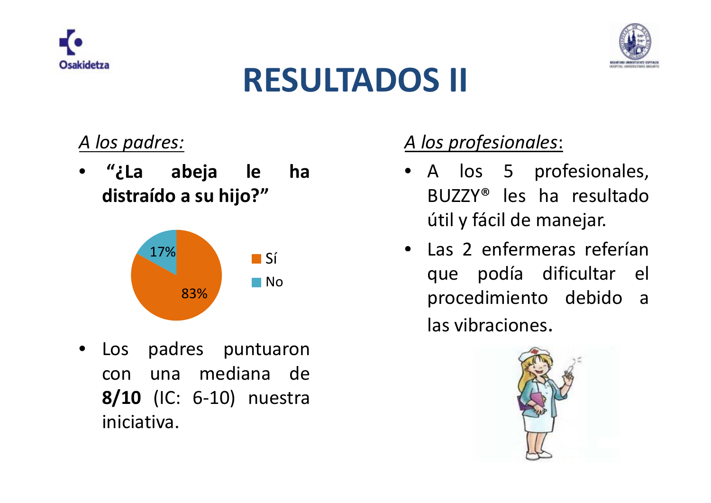



## **RESULTADOS II**

### *A*

• **"¿La abeja le ha distraído <sup>a</sup> su hijo?"**



• Los padres puntuaron con una mediana de **8/10** (IC: 6‐10) nuestra iniciativa.

### *los padres: A l fi l los profesionales*:

- • A los 5 profesionales, **hijo?** BUZZY® les ha resultado útil y fácil de manejar.
- Las 2 enfermeras referían que podía dificultar el 83% and 83% and 83% and 83% and 83% and 83% and 83% and 83% and 83% and 83% and 83% and 83% and 83% and 83% and 84% and 84% and 84% and 84% and 84% and 84% and 84% and 84% and 84% and 84% and 84% and 84% and 84% and 84% an las vibraciones.

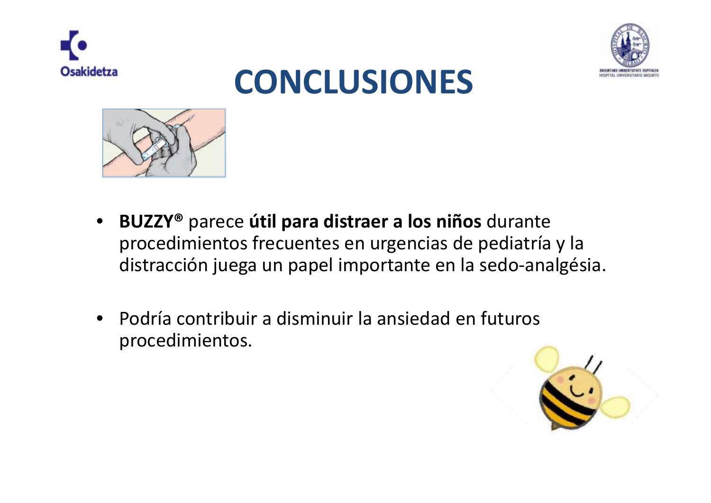



## **CONCLUSIONES**



- $\bullet$  **BUZZY®** parece **útil para distraer a los niños** durante procedimientos frecuentes en ur gencias de pediatría y la distracción juega un papel importante en la sedo ‐analgésia.
- • Podría contribuir a disminuir la ansiedad en futuros procedimientos.

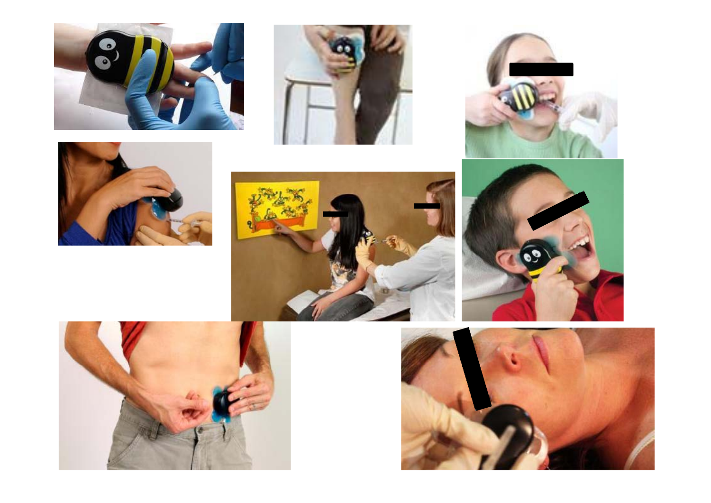













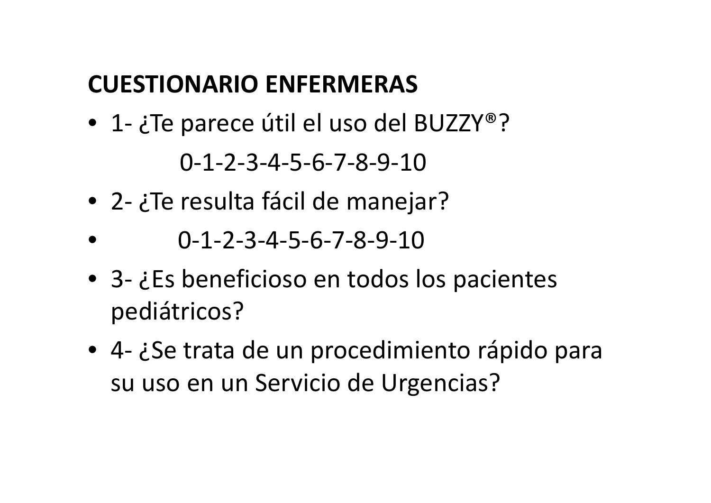### **CUESTIONARIO ENFERMERAS**

- 1- ¿Te parece útil el uso del BUZZY®? 0‐1‐2‐3‐4‐5‐6‐7‐8‐9‐10
- 2- ¿Te resulta fácil de manejar?
- $\bullet$ 0‐1‐2‐3‐4‐5‐6‐7‐8‐9‐10
- 3- ¿Es beneficioso en todos los pacientes pediátricos?
- 4‐ ¿Se trata de un procedimiento rápido para su uso en un Servicio de Urgencias?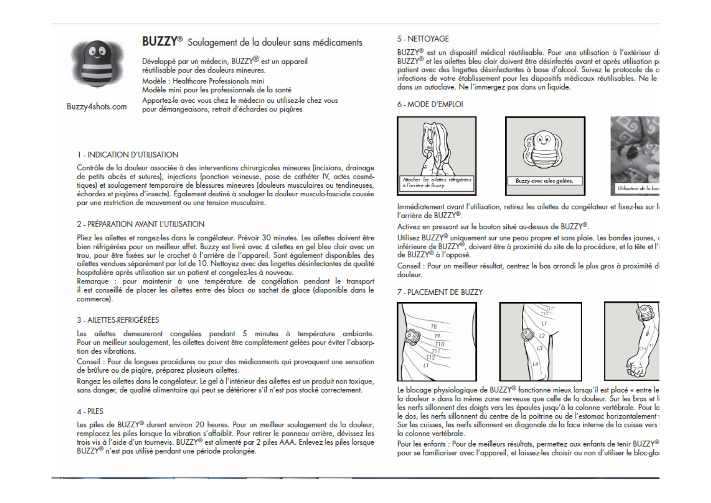

**BUZZY**<sup>®</sup> Soulagement de la douleur sans médicaments

Développé par un médecin. BUZZY<sup>®</sup> est un appareil réutilisable pour des douleurs mineures. Modèle : Healthcare Professionals mini-Modèle mini pour les professionnels de la santé Apportez-le avec vous chez le médecin ou utilisez-le chez vous pour démangeaisons, retrait d'échardes ou pigûres

Buzzy4shots.com

#### **1 - INDICATION D'UTILISATION**

Contrôle de la douleur associée à des interventions chiruraicales mineures (incisions, drainage de petits abcès et sutures), injections (ponction veineuse, pose de cathéter IV, actes cosmétiques) et soulagement temporaire de blessures mineures (douleurs musculaires ou tendineuses, échardes et pigûres d'insecte). Également destiné à soulager la douleur musculo-fasciale causée par une restriction de mouvement ou une tension musculaire.

#### 2 - PRÉPARATION AVANT L'UTILISATION

Pliez les gilettes et rangez-les dans le congélateur. Prévoir 30 minutes, Les gilettes doivent être bien réfrigérées pour un meilleur effet. Buzzy est livré avec 4 ailettes en gel bleu clair avec un trou, pour être fixées sur le crochet à l'arrière de l'appareil. Sont également disponibles des ailettes vendues séparément par lot de 10. Nettoyez avec des lingettes désinfectantes de qualité hospitalière après utilisation sur un patient et congelez-les à nouveau.

Remarque : pour maintenir à une température de congélation pendant le transport il est conseillé de placer les ailettes entre des blocs ou sachet de glace (disponible dans le commerce).

#### 3. AILETTES REFRIGÉRÉES

Les ailettes demeureront congelées pendant 5 minutes à température ambiante. Pour un meilleur soulagement, les ailettes doivent être complètement gelées pour éviter l'absorption des vibrations.

Conseil : Pour de longues procédures ou pour des médicaments qui provoquent une sensation de brûlure ou de pigûre, préparez plusieurs ailettes.

Rangez les gilettes dans le congélateur. Le gel à l'intérieur des gilettes est un produit non toxique. sans danger, de qualité alimentaire qui peut se détériorer s'il n'est pas stocké correctement.

#### $A$  - PIIFS

Les piles de BUZZY® durent environ 20 heures. Pour un meilleur soulagement de la douleur, remplacez les piles lorsque la vibration s'affaiblit. Pour retirer le panneau arrière, dévissez les trois vis à l'aide d'un tournevis. BUZZY® est alimenté par 2 piles AAA. Enlevez les piles lorsque BUZZY<sup>®</sup> n'est pas utilisé pendant une période prolonaée.

#### **5. NETTOYAGE**

BUZZY<sup>®</sup> est un dispositif médical réutilisable. Pour une utilisation à l'extérieur di BUZZY® et les gilettes bleu clair doivent être désinfectés avant et après utilisation per patient avec des lingettes désinfectantes à base d'alcool. Suivez le protocole de a infections de votre établissement pour les dispositifs médicaux réutilisables. Ne le dans un autoclave. Ne l'immergez pas dans un liquide.

#### **6 - MODE D'EMPLOI**



Immédiatement avant l'utilisation, retirez les ailettes du congélateur et fixez-les sur le l'orrière de BUZZY®

Activez en pressant sur le bouton situé au-dessus de BUZZY®.

Utilisez BUZZY<sup>®</sup> uniquement sur une pequ propre et sans plaie. Les bandes jaunes, o inférieure de BUZZY®, doivent être à proximité du site de la procédure, et la tête et l'i de BUZZY<sup>®</sup> à l'opposé.

Conseil : Pour un meilleur résultat, centrez le bas arrondi le plus aros à proximité di douleur.

#### **7 - PLACEMENT DE BUZZY**







Le blocage physiologique de BUZZY® fonctionne mieux lorsqu'il est placé « entre le la douleur » dans la même zone nerveuse que celle de la douleur. Sur les bras et le les nerfs sillonnent des doigts vers les épaules jusqu'à la colonne vertébrale. Pour la le dos, les nerfs sillonnent du centre de la poitrine ou de l'estomac horizontalement y Sur les cuisses, les nerfs sillonnent en diagonale de la face interne de la cuisse vers la colonne vertébrale.

Pour les enfants : Pour de meilleurs résultats, permettez aux enfants de tenir BUZZY® pour se familiariser avec l'appareil, et laissez-les choisir ou non d'utiliser le bloc-glac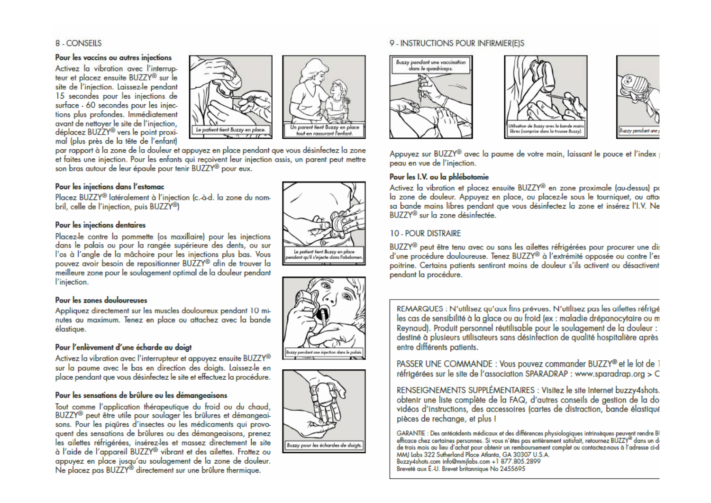#### **8. CONSEILS**

#### Pour les vaccins ou autres injections

Activez la vibration avec l'interrupteur et placez ensuite BUZZY<sup>®</sup> sur le site de l'injection. Laissez-le pendant 15 secondes pour les injections de surface - 60 secondes pour les injections plus profondes. Immédiatement avant de nettover le site de l'injection. déplacez BUZZY<sup>®</sup> vers le point proximal (plus près de la tête de l'enfant)



par rapport à la zone de la douleur et appuyez en place pendant que vous désinfectez la zone et faites une injection. Pour les enfants aui recoivent leur injection assis, un parent peut mettre son bras autour de leur épaule pour tenir BUZZY® pour eux.

#### Pour les injections dans l'estomac

Placez BUZZY® latéralement à l'injection (c.-à-d. la zone du nombril, celle de l'injection, puis BUZZY<sup>®</sup>

#### Pour les injections dentaires

Placez-le contre la pommette (os maxillaire) pour les injections dans le palais ou pour la rangée supérieure des dents, ou sur l'os à l'angle de la mâchoire pour les injections plus bas. Vous pouvez avoir besoin de repositionner BUZZY® afin de trouver la meilleure zone pour le soulagement optimal de la douleur pendant l'injection.

#### Pour les zones douloureuses

Appliquez directement sur les muscles douloureux pendant 10 minutes au maximum. Tenez en place ou attachez avec la bande élastique.

#### Pour l'enlèvement d'une écharde au doiat

Activez la vibration avec l'interrupteur et appuyez ensuite BUZZY® sur la paume avec le bas en direction des doigts. Laissez-le en place pendant que vous désinfectez le site et effectuez la procédure.

#### Pour les sensations de brûlure ou les démangeaisons

Tout comme l'application thérapeutique du froid ou du chaud. BUZZY<sup>®</sup> peut être utile pour soulager les brûlures et démangeaisons. Pour les pigûres d'insectes ou les médicaments qui provoquent des sensations de brûlures ou des démangegisons, prenez les ailettes réfrigérées, insérez-les et massez directement le site à l'aide de l'appareil BUZZY® vibrant et des ailettes. Frottez ou appuyez en place jusqu'au soulagement de la zone de douleur. Ne placez pas BUZZY<sup>®</sup> directement sur une brûlure thermique.

#### 9 - INSTRUCTIONS POUR INFIRMIERIEIS



Appuvez sur BUZZY® avec la paume de votre main, laissant le pouce et l'index pequ'en vue de l'injection.

#### Pour les I.V. ou la phlébotomie

Activez la vibration et placez ensuite BUZZY<sup>®</sup> en zone proximale (au-dessus) po la zone de douleur. Appuyez en place, ou placez-le sous le tourniquet, ou attac sa bande mains libres pendant que vous désinfectez la zone et insérez l'I.V. Ne BUZZY<sup>®</sup> sur la zone désinfectée.

#### 10 - POUR DISTRAIRE

BUZZY<sup>®</sup> peut être tenu avec ou sans les ailettes réfrigérées pour procurer une dis d'une procédure douloureuse. Tenez BUZZY® à l'extrémité opposée ou contre l'es poitrine. Certains patients sentiront moins de douleur s'ils activent ou désactivent pendant la procédure.

REMARQUES : N'utilisez qu'aux fins prévues. N'utilisez pas les ailettes réfrigé les cas de sensibilité à la glace ou au froid (ex : maladie drépanocytaire ou m Reynaud). Produit personnel réutilisable pour le soulagement de la douleur : destiné à plusieurs utilisateurs sans désinfection de qualité hospitalière après entre différents patients.

PASSER UNE COMMANDE: Vous pouvez commander BUZZY® et le lot de réfrigérées sur le site de l'association SPARADRAP : www.sparadrap.org > C

RENSEIGNEMENTS SUPPLÉMENTAIRES : Visitez le site Internet buzzy4shots. obtenir une liste complète de la FAQ, d'autres conseils de gestion de la do vidéos d'instructions, des accessoires (cartes de distraction, bande élastiqué pièces de rechange, et plus !

GARANTIE : Des antécédents médicaux et des différences physiologiques intrinsèques peuvent rendre BI efficace chez certaines personnes. Si vous n'êtes pas entièrement satisfait, retournez BUZZY® dans un de de trois mois au lieu d'achat pour obtenir un remboursement complet ou contactez-nous à l'adresse ci-d MMI Labs 322 Sutherland Place Atlanta, GA 30307 U.S.A. Buzzy4shots.com info@mmjlabs.com +1 877.805.2899 Breveté aux É.-U. Brevet britannique No 2455695





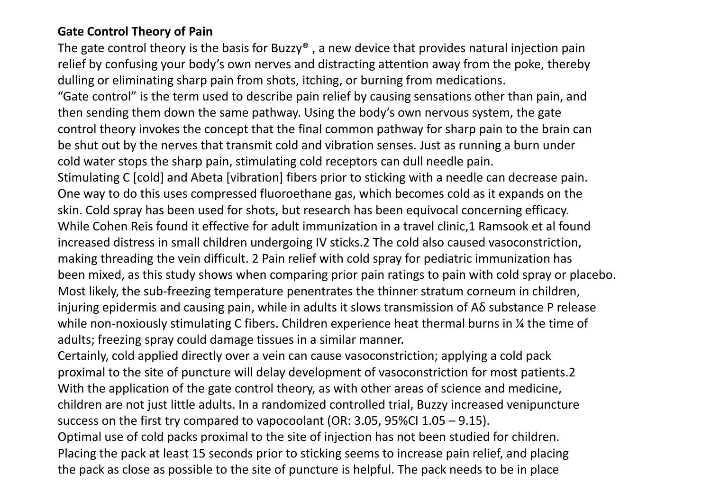### **Gate Control Theory of Pain**

The gate control theory is the basis for Buzzy® , <sup>a</sup> new device that provides natural injection pain relief by confusing your body's own nerves and distracting attention away from the poke, thereby dulling or eliminating sharp pain from shots, itching, or burning from medications.

"Gate control" is the term used to describe pain relief by causing sensations other than pain, and then sending them down the same pathway. Using the body's own nervous system, the gate control theory invokes the concept that the final common pathway for sharp pain to the brain can be shut out by the nerves that transmit cold and vibration senses. Just as running <sup>a</sup> burn under cold water stops the sharp pain, stimulating cold receptors can dull needle pain.

Stimulating C [cold] and Abeta [vibration] fibers prior to sticking with <sup>a</sup> needle can decrease pain. One way to do this uses compressed fluoroethane gas, which becomes cold as it expands on the skin. Cold spray has been used for shots, but research has been equivocal concerning efficacy. While Cohen Reis found it effective for adult immunization in <sup>a</sup> travel clinic,1 Ramsook et al found increased distress in small children undergoing IV sticks.2 The cold also caused vasoconstriction, making threading the vein difficult. 2 Pain relief with cold spray for pediatric immunization has been mixed, as this study shows when comparing prior pain ratings to pain with cold spray or placebo. Most likely, the sub‐freezing temperature penentrates the thinner stratum corneum in children, injuring epidermis and causing pain, while in adults it slows transmission of Aδ substance P release while non-noxiously stimulating C fibers. Children experience heat thermal burns in % the time of adults; freezing spray could damage tissues in <sup>a</sup> similar manner.

Certainly, cold applied directly over <sup>a</sup> vein can cause vasoconstriction; applying <sup>a</sup> cold pack proximal to the site of puncture will delay development of vasoconstriction for most patients.2 With the application of the gate control theory, as with other areas of science and medicine, children are not just little adults. In <sup>a</sup> randomized controlled trial, Buzzy increased venipuncture success on the first try compared to vapocoolant (OR: 3.05, 95%CI 1.05 – 9.15). Optimal use of cold packs proximal to the site of injection has not been studied for children. Placing the pack at least 15 seconds prior to sticking seems to increase pain relief, and placing the pack as close as possible to the site of puncture is helpful. The pack needs to be in place